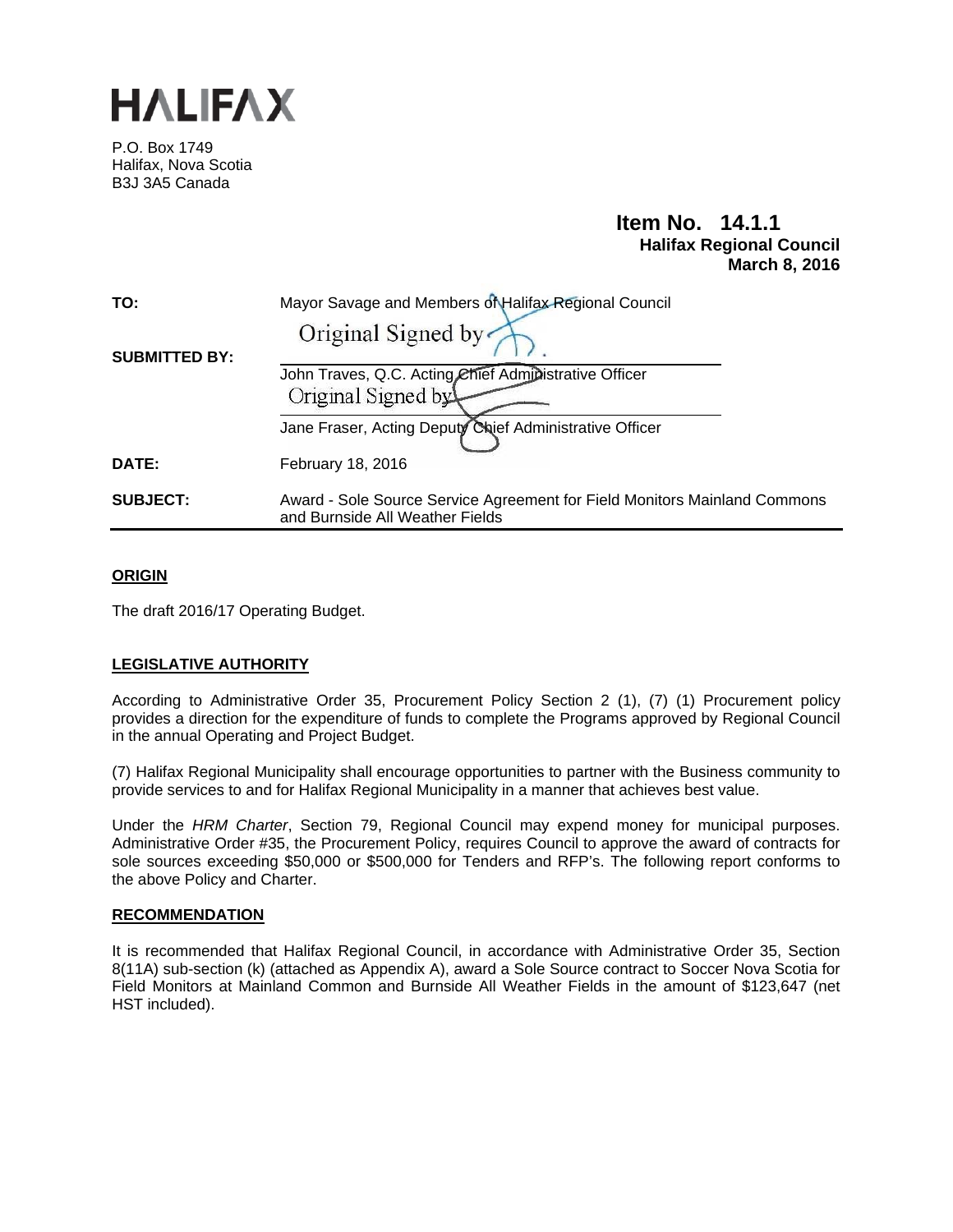

P.O. Box 1749 Halifax, Nova Scotia B3J 3A5 Canada

# **Item No. 14.1.1 Halifax Regional Council March 8, 2016**

| TO:                  | Mayor Savage and Members of Halifax Regional Council                                                         |
|----------------------|--------------------------------------------------------------------------------------------------------------|
|                      | Original Signed by                                                                                           |
| <b>SUBMITTED BY:</b> |                                                                                                              |
|                      | John Traves, Q.C. Acting Chief Administrative Officer                                                        |
|                      | Original Signed by                                                                                           |
|                      | Jane Fraser, Acting Deputy Chief Administrative Officer                                                      |
| DATE:                | February 18, 2016                                                                                            |
| <b>SUBJECT:</b>      | Award - Sole Source Service Agreement for Field Monitors Mainland Commons<br>and Burnside All Weather Fields |

### **ORIGIN**

The draft 2016/17 Operating Budget.

### **LEGISLATIVE AUTHORITY**

According to Administrative Order 35, Procurement Policy Section 2 (1), (7) (1) Procurement policy provides a direction for the expenditure of funds to complete the Programs approved by Regional Council in the annual Operating and Project Budget.

(7) Halifax Regional Municipality shall encourage opportunities to partner with the Business community to provide services to and for Halifax Regional Municipality in a manner that achieves best value.

Under the *HRM Charter*, Section 79, Regional Council may expend money for municipal purposes. Administrative Order #35, the Procurement Policy, requires Council to approve the award of contracts for sole sources exceeding \$50,000 or \$500,000 for Tenders and RFP's. The following report conforms to the above Policy and Charter.

#### **RECOMMENDATION**

It is recommended that Halifax Regional Council, in accordance with Administrative Order 35, Section 8(11A) sub-section (k) (attached as Appendix A), award a Sole Source contract to Soccer Nova Scotia for Field Monitors at Mainland Common and Burnside All Weather Fields in the amount of \$123,647 (net HST included).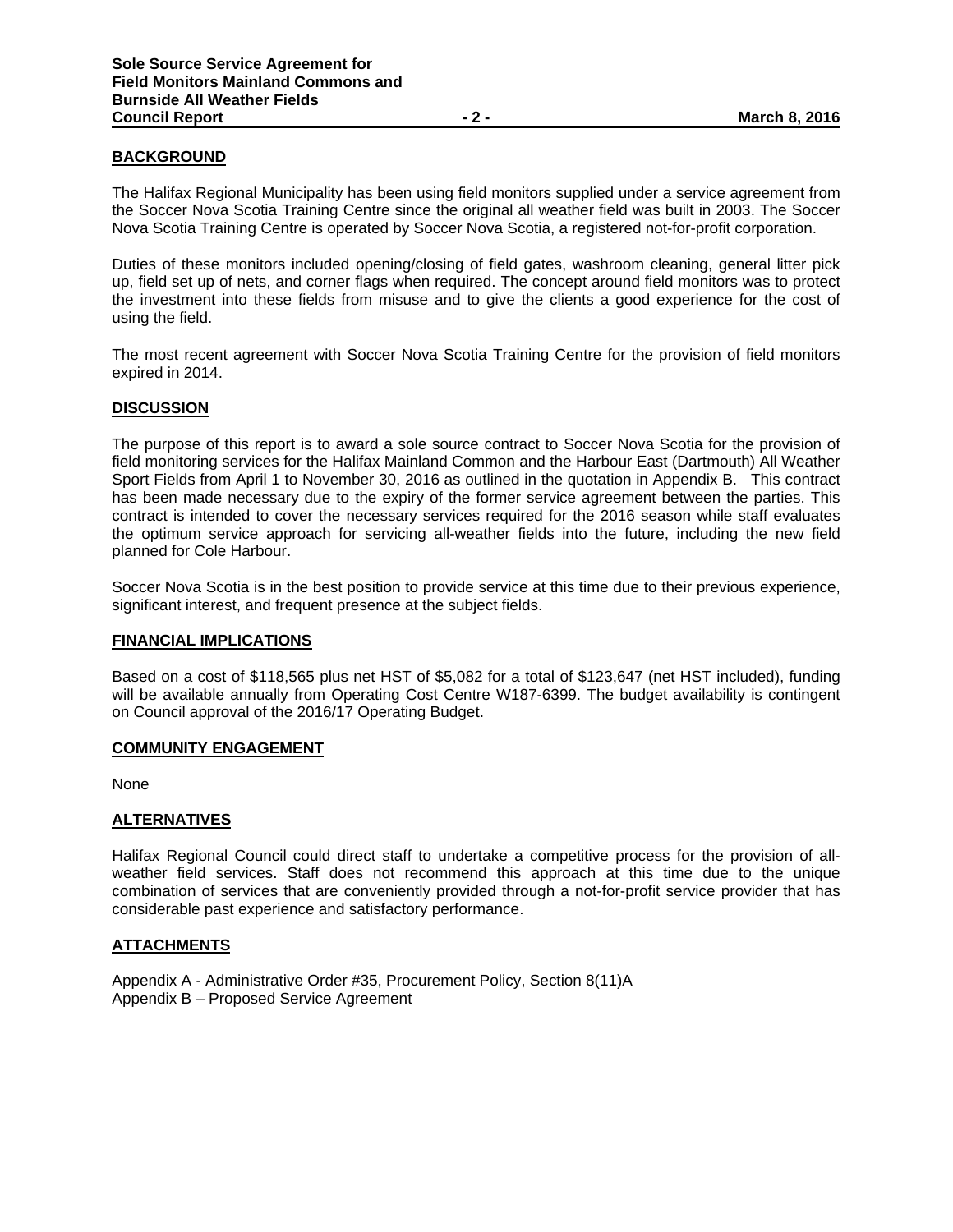#### **BACKGROUND**

The Halifax Regional Municipality has been using field monitors supplied under a service agreement from the Soccer Nova Scotia Training Centre since the original all weather field was built in 2003. The Soccer Nova Scotia Training Centre is operated by Soccer Nova Scotia, a registered not-for-profit corporation.

Duties of these monitors included opening/closing of field gates, washroom cleaning, general litter pick up, field set up of nets, and corner flags when required. The concept around field monitors was to protect the investment into these fields from misuse and to give the clients a good experience for the cost of using the field.

The most recent agreement with Soccer Nova Scotia Training Centre for the provision of field monitors expired in 2014.

#### **DISCUSSION**

The purpose of this report is to award a sole source contract to Soccer Nova Scotia for the provision of field monitoring services for the Halifax Mainland Common and the Harbour East (Dartmouth) All Weather Sport Fields from April 1 to November 30, 2016 as outlined in the quotation in Appendix B. This contract has been made necessary due to the expiry of the former service agreement between the parties. This contract is intended to cover the necessary services required for the 2016 season while staff evaluates the optimum service approach for servicing all-weather fields into the future, including the new field planned for Cole Harbour.

Soccer Nova Scotia is in the best position to provide service at this time due to their previous experience, significant interest, and frequent presence at the subject fields.

#### **FINANCIAL IMPLICATIONS**

Based on a cost of \$118,565 plus net HST of \$5,082 for a total of \$123,647 (net HST included), funding will be available annually from Operating Cost Centre W187-6399. The budget availability is contingent on Council approval of the 2016/17 Operating Budget.

#### **COMMUNITY ENGAGEMENT**

None

#### **ALTERNATIVES**

Halifax Regional Council could direct staff to undertake a competitive process for the provision of allweather field services. Staff does not recommend this approach at this time due to the unique combination of services that are conveniently provided through a not-for-profit service provider that has considerable past experience and satisfactory performance.

#### **ATTACHMENTS**

Appendix A - Administrative Order #35, Procurement Policy, Section 8(11)A Appendix B – Proposed Service Agreement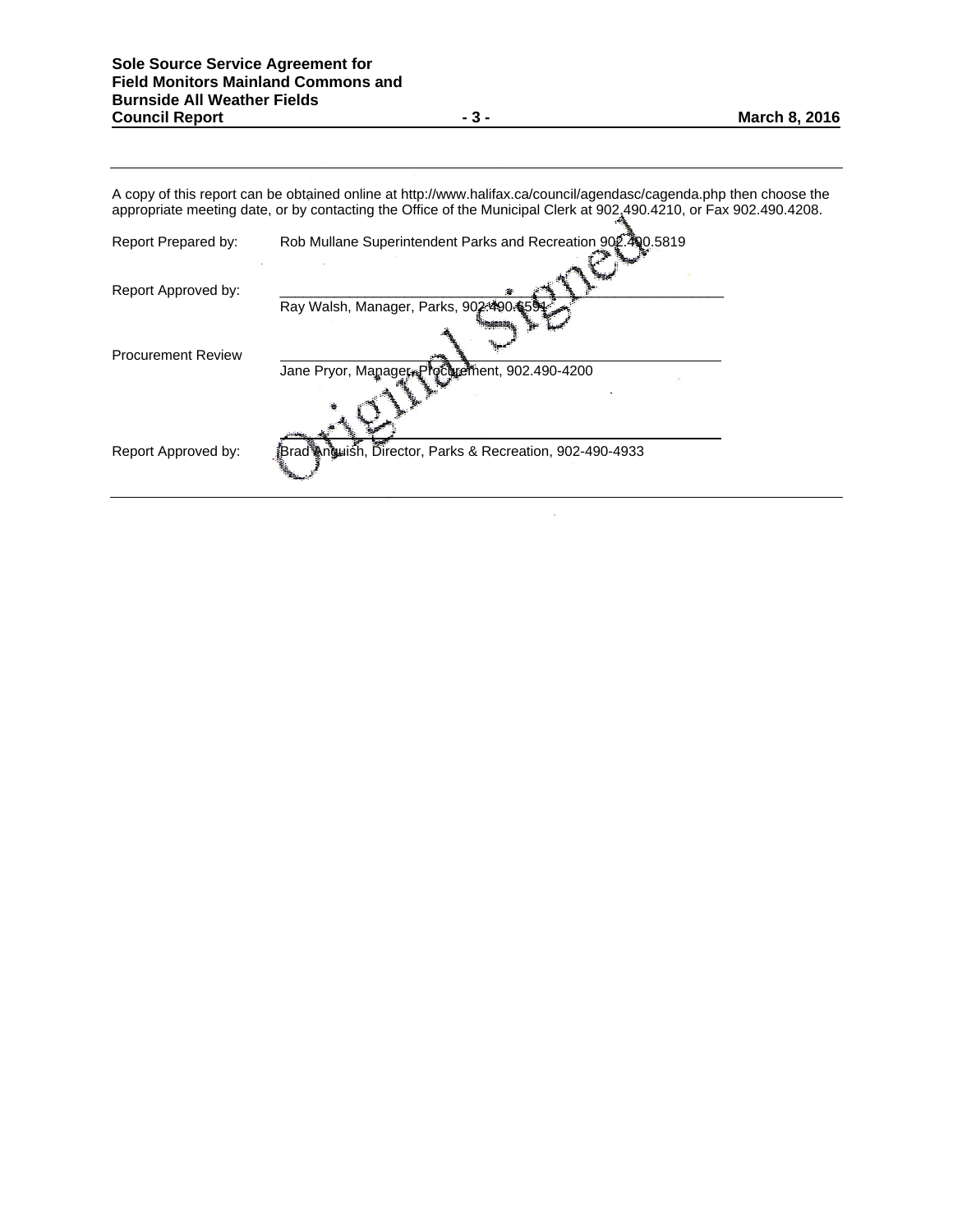A copy of this report can be obtained online at http://www.halifax.ca/council/agendasc/cagenda.php then choose the appropriate meeting date, or by contacting the Office of the Municipal Clerk at 902.490.4210, or Fax 902.490.4208.

 $\bar{z}$ 

| Report Prepared by:       | Rob Mullane Superintendent Parks and Recreation 902.400.5819 |  |
|---------------------------|--------------------------------------------------------------|--|
| Report Approved by:       |                                                              |  |
|                           | Ray Walsh, Manager, Parks, 902:490:6594                      |  |
| <b>Procurement Review</b> | Jane Pryor, Manager Prochiement, 902.490-4200                |  |
|                           |                                                              |  |
| Report Approved by:       | Brad‱n∰uish, Director, Parks & Recreation, 902-490-4933      |  |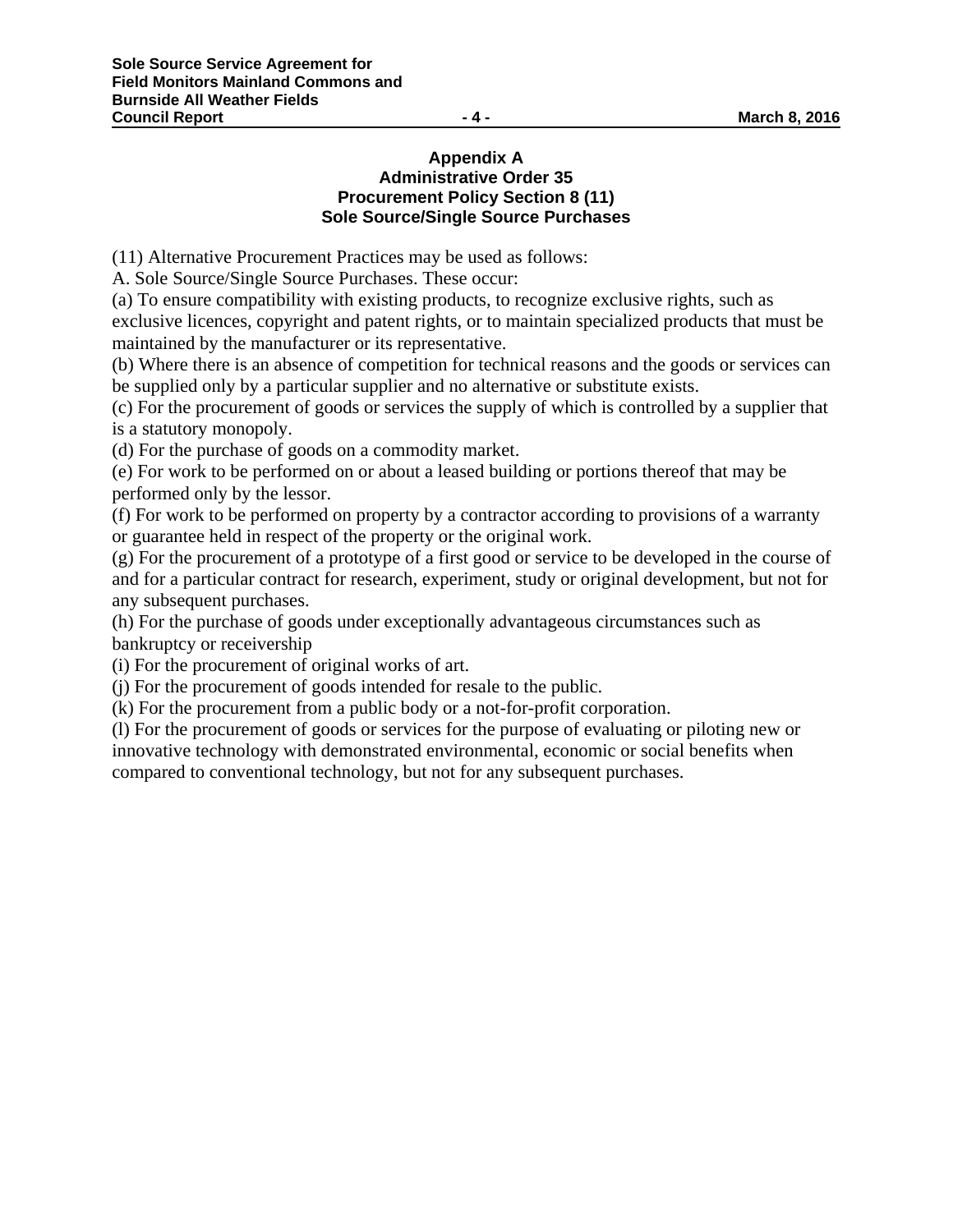## **Appendix A Administrative Order 35 Procurement Policy Section 8 (11) Sole Source/Single Source Purchases**

(11) Alternative Procurement Practices may be used as follows:

A. Sole Source/Single Source Purchases. These occur:

(a) To ensure compatibility with existing products, to recognize exclusive rights, such as exclusive licences, copyright and patent rights, or to maintain specialized products that must be maintained by the manufacturer or its representative.

(b) Where there is an absence of competition for technical reasons and the goods or services can be supplied only by a particular supplier and no alternative or substitute exists.

(c) For the procurement of goods or services the supply of which is controlled by a supplier that is a statutory monopoly.

(d) For the purchase of goods on a commodity market.

(e) For work to be performed on or about a leased building or portions thereof that may be performed only by the lessor.

(f) For work to be performed on property by a contractor according to provisions of a warranty or guarantee held in respect of the property or the original work.

(g) For the procurement of a prototype of a first good or service to be developed in the course of and for a particular contract for research, experiment, study or original development, but not for any subsequent purchases.

(h) For the purchase of goods under exceptionally advantageous circumstances such as bankruptcy or receivership

(i) For the procurement of original works of art.

(j) For the procurement of goods intended for resale to the public.

(k) For the procurement from a public body or a not-for-profit corporation.

(l) For the procurement of goods or services for the purpose of evaluating or piloting new or innovative technology with demonstrated environmental, economic or social benefits when compared to conventional technology, but not for any subsequent purchases.